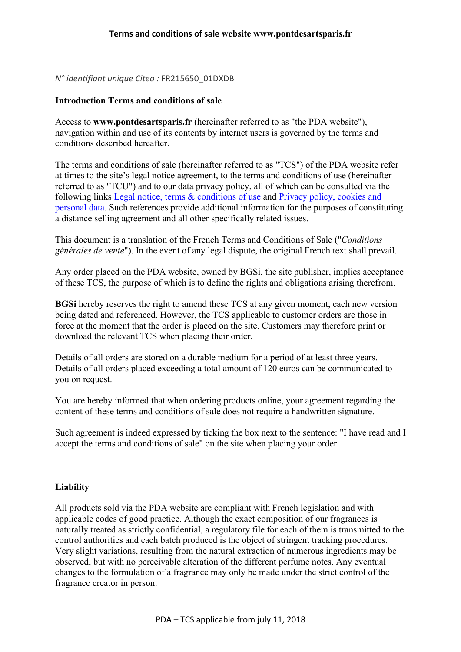*N° identifiant unique Citeo :* FR215650\_01DXDB

#### **Introduction Terms and conditions of sale**

Access to **www.pontdesartsparis.fr** (hereinafter referred to as "the PDA website"), navigation within and use of its contents by internet users is governed by the terms and conditions described hereafter.

The terms and conditions of sale (hereinafter referred to as "TCS") of the PDA website refer at times to the site's legal notice agreement, to the terms and conditions of use (hereinafter referred to as "TCU") and to our data privacy policy, all of which can be consulted via the following links Legal notice, terms & conditions of use and Privacy policy, cookies and personal data. Such references provide additional information for the purposes of constituting a distance selling agreement and all other specifically related issues.

This document is a translation of the French Terms and Conditions of Sale ("*Conditions générales de vente*"). In the event of any legal dispute, the original French text shall prevail.

Any order placed on the PDA website, owned by BGSi, the site publisher, implies acceptance of these TCS, the purpose of which is to define the rights and obligations arising therefrom.

**BGSi** hereby reserves the right to amend these TCS at any given moment, each new version being dated and referenced. However, the TCS applicable to customer orders are those in force at the moment that the order is placed on the site. Customers may therefore print or download the relevant TCS when placing their order.

Details of all orders are stored on a durable medium for a period of at least three years. Details of all orders placed exceeding a total amount of 120 euros can be communicated to you on request.

You are hereby informed that when ordering products online, your agreement regarding the content of these terms and conditions of sale does not require a handwritten signature.

Such agreement is indeed expressed by ticking the box next to the sentence: "I have read and I accept the terms and conditions of sale" on the site when placing your order.

#### **Liability**

All products sold via the PDA website are compliant with French legislation and with applicable codes of good practice. Although the exact composition of our fragrances is naturally treated as strictly confidential, a regulatory file for each of them is transmitted to the control authorities and each batch produced is the object of stringent tracking procedures. Very slight variations, resulting from the natural extraction of numerous ingredients may be observed, but with no perceivable alteration of the different perfume notes. Any eventual changes to the formulation of a fragrance may only be made under the strict control of the fragrance creator in person.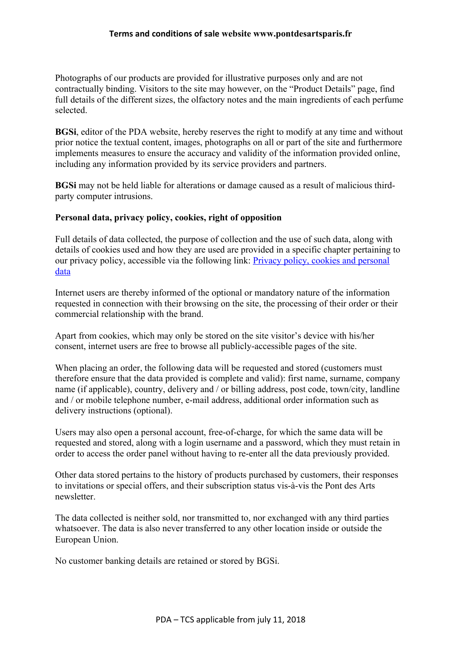Photographs of our products are provided for illustrative purposes only and are not contractually binding. Visitors to the site may however, on the "Product Details" page, find full details of the different sizes, the olfactory notes and the main ingredients of each perfume selected.

**BGSi**, editor of the PDA website, hereby reserves the right to modify at any time and without prior notice the textual content, images, photographs on all or part of the site and furthermore implements measures to ensure the accuracy and validity of the information provided online, including any information provided by its service providers and partners.

**BGSi** may not be held liable for alterations or damage caused as a result of malicious thirdparty computer intrusions.

#### **Personal data, privacy policy, cookies, right of opposition**

Full details of data collected, the purpose of collection and the use of such data, along with details of cookies used and how they are used are provided in a specific chapter pertaining to our privacy policy, accessible via the following link: Privacy policy, cookies and personal data

Internet users are thereby informed of the optional or mandatory nature of the information requested in connection with their browsing on the site, the processing of their order or their commercial relationship with the brand.

Apart from cookies, which may only be stored on the site visitor's device with his/her consent, internet users are free to browse all publicly-accessible pages of the site.

When placing an order, the following data will be requested and stored (customers must therefore ensure that the data provided is complete and valid): first name, surname, company name (if applicable), country, delivery and / or billing address, post code, town/city, landline and / or mobile telephone number, e-mail address, additional order information such as delivery instructions (optional).

Users may also open a personal account, free-of-charge, for which the same data will be requested and stored, along with a login username and a password, which they must retain in order to access the order panel without having to re-enter all the data previously provided.

Other data stored pertains to the history of products purchased by customers, their responses to invitations or special offers, and their subscription status vis-à-vis the Pont des Arts newsletter.

The data collected is neither sold, nor transmitted to, nor exchanged with any third parties whatsoever. The data is also never transferred to any other location inside or outside the European Union.

No customer banking details are retained or stored by BGSi.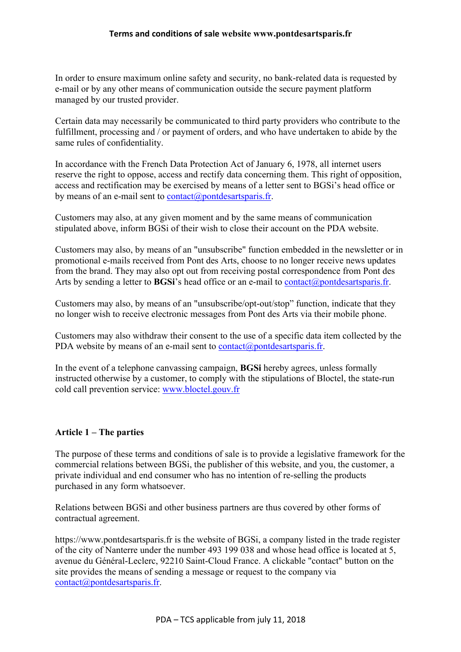In order to ensure maximum online safety and security, no bank-related data is requested by e-mail or by any other means of communication outside the secure payment platform managed by our trusted provider.

Certain data may necessarily be communicated to third party providers who contribute to the fulfillment, processing and / or payment of orders, and who have undertaken to abide by the same rules of confidentiality.

In accordance with the French Data Protection Act of January 6, 1978, all internet users reserve the right to oppose, access and rectify data concerning them. This right of opposition, access and rectification may be exercised by means of a letter sent to BGSi's head office or by means of an e-mail sent to  $contact(\partial$  pontdesartsparis.fr.

Customers may also, at any given moment and by the same means of communication stipulated above, inform BGSi of their wish to close their account on the PDA website.

Customers may also, by means of an "unsubscribe" function embedded in the newsletter or in promotional e-mails received from Pont des Arts, choose to no longer receive news updates from the brand. They may also opt out from receiving postal correspondence from Pont des Arts by sending a letter to **BGSi**'s head office or an e-mail to contact@pontdesartsparis.fr.

Customers may also, by means of an "unsubscribe/opt-out/stop" function, indicate that they no longer wish to receive electronic messages from Pont des Arts via their mobile phone.

Customers may also withdraw their consent to the use of a specific data item collected by the PDA website by means of an e-mail sent to contact@pontdesartsparis.fr.

In the event of a telephone canvassing campaign, **BGSi** hereby agrees, unless formally instructed otherwise by a customer, to comply with the stipulations of Bloctel, the state-run cold call prevention service: www.bloctel.gouv.fr

# **Article 1 – The parties**

The purpose of these terms and conditions of sale is to provide a legislative framework for the commercial relations between BGSi, the publisher of this website, and you, the customer, a private individual and end consumer who has no intention of re-selling the products purchased in any form whatsoever.

Relations between BGSi and other business partners are thus covered by other forms of contractual agreement.

https://www.pontdesartsparis.fr is the website of BGSi, a company listed in the trade register of the city of Nanterre under the number 493 199 038 and whose head office is located at 5, avenue du Général-Leclerc, 92210 Saint-Cloud France. A clickable "contact" button on the site provides the means of sending a message or request to the company via contact@pontdesartsparis.fr.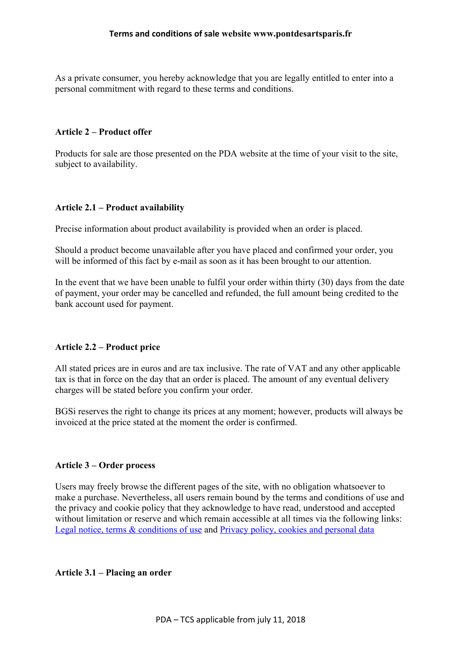As a private consumer, you hereby acknowledge that you are legally entitled to enter into a personal commitment with regard to these terms and conditions.

#### **Article 2 – Product offer**

Products for sale are those presented on the PDA website at the time of your visit to the site, subject to availability.

### **Article 2.1 – Product availability**

Precise information about product availability is provided when an order is placed.

Should a product become unavailable after you have placed and confirmed your order, you will be informed of this fact by e-mail as soon as it has been brought to our attention.

In the event that we have been unable to fulfil your order within thirty (30) days from the date of payment, your order may be cancelled and refunded, the full amount being credited to the bank account used for payment.

#### **Article 2.2 – Product price**

All stated prices are in euros and are tax inclusive. The rate of VAT and any other applicable tax is that in force on the day that an order is placed. The amount of any eventual delivery charges will be stated before you confirm your order.

BGSi reserves the right to change its prices at any moment; however, products will always be invoiced at the price stated at the moment the order is confirmed.

#### **Article 3 – Order process**

Users may freely browse the different pages of the site, with no obligation whatsoever to make a purchase. Nevertheless, all users remain bound by the terms and conditions of use and the privacy and cookie policy that they acknowledge to have read, understood and accepted without limitation or reserve and which remain accessible at all times via the following links: Legal notice, terms & conditions of use and Privacy policy, cookies and personal data

#### **Article 3.1 – Placing an order**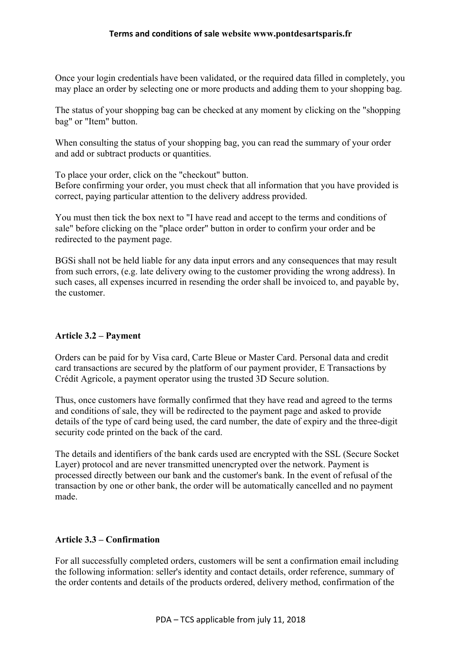Once your login credentials have been validated, or the required data filled in completely, you may place an order by selecting one or more products and adding them to your shopping bag.

The status of your shopping bag can be checked at any moment by clicking on the "shopping bag" or "Item" button.

When consulting the status of your shopping bag, you can read the summary of your order and add or subtract products or quantities.

To place your order, click on the "checkout" button.

Before confirming your order, you must check that all information that you have provided is correct, paying particular attention to the delivery address provided.

You must then tick the box next to "I have read and accept to the terms and conditions of sale" before clicking on the "place order" button in order to confirm your order and be redirected to the payment page.

BGSi shall not be held liable for any data input errors and any consequences that may result from such errors, (e.g. late delivery owing to the customer providing the wrong address). In such cases, all expenses incurred in resending the order shall be invoiced to, and payable by, the customer.

### **Article 3.2 – Payment**

Orders can be paid for by Visa card, Carte Bleue or Master Card. Personal data and credit card transactions are secured by the platform of our payment provider, E Transactions by Crédit Agricole, a payment operator using the trusted 3D Secure solution.

Thus, once customers have formally confirmed that they have read and agreed to the terms and conditions of sale, they will be redirected to the payment page and asked to provide details of the type of card being used, the card number, the date of expiry and the three-digit security code printed on the back of the card.

The details and identifiers of the bank cards used are encrypted with the SSL (Secure Socket Layer) protocol and are never transmitted unencrypted over the network. Payment is processed directly between our bank and the customer's bank. In the event of refusal of the transaction by one or other bank, the order will be automatically cancelled and no payment made.

# **Article 3.3 – Confirmation**

For all successfully completed orders, customers will be sent a confirmation email including the following information: seller's identity and contact details, order reference, summary of the order contents and details of the products ordered, delivery method, confirmation of the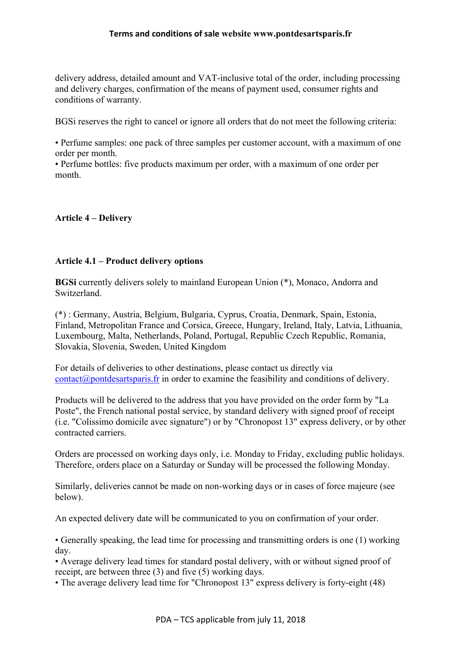delivery address, detailed amount and VAT-inclusive total of the order, including processing and delivery charges, confirmation of the means of payment used, consumer rights and conditions of warranty.

BGSi reserves the right to cancel or ignore all orders that do not meet the following criteria:

• Perfume samples: one pack of three samples per customer account, with a maximum of one order per month.

• Perfume bottles: five products maximum per order, with a maximum of one order per month.

# **Article 4 – Delivery**

### **Article 4.1 – Product delivery options**

**BGSi** currently delivers solely to mainland European Union (\*), Monaco, Andorra and Switzerland.

(\*) : Germany, Austria, Belgium, Bulgaria, Cyprus, Croatia, Denmark, Spain, Estonia, Finland, Metropolitan France and Corsica, Greece, Hungary, Ireland, Italy, Latvia, Lithuania, Luxembourg, Malta, Netherlands, Poland, Portugal, Republic Czech Republic, Romania, Slovakia, Slovenia, Sweden, United Kingdom

For details of deliveries to other destinations, please contact us directly via  $contact(\omega)$  pontact artsparis. fr in order to examine the feasibility and conditions of delivery.

Products will be delivered to the address that you have provided on the order form by "La Poste", the French national postal service, by standard delivery with signed proof of receipt (i.e. "Colissimo domicile avec signature") or by "Chronopost 13" express delivery, or by other contracted carriers.

Orders are processed on working days only, i.e. Monday to Friday, excluding public holidays. Therefore, orders place on a Saturday or Sunday will be processed the following Monday.

Similarly, deliveries cannot be made on non-working days or in cases of force majeure (see below).

An expected delivery date will be communicated to you on confirmation of your order.

• Generally speaking, the lead time for processing and transmitting orders is one (1) working day.

• Average delivery lead times for standard postal delivery, with or without signed proof of receipt, are between three (3) and five (5) working days.

• The average delivery lead time for "Chronopost 13" express delivery is forty-eight (48)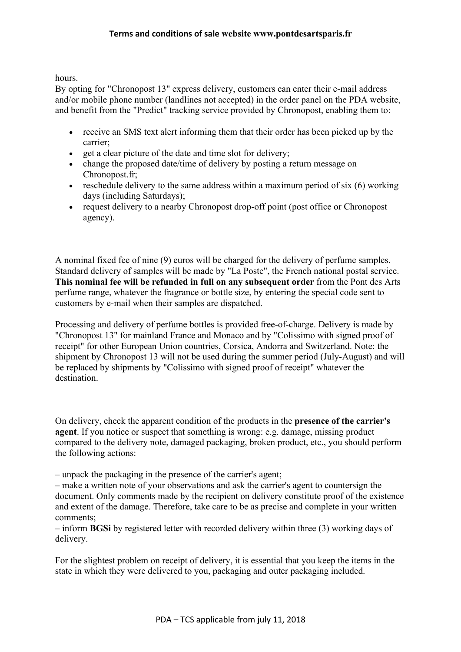hours.

By opting for "Chronopost 13" express delivery, customers can enter their e-mail address and/or mobile phone number (landlines not accepted) in the order panel on the PDA website, and benefit from the "Predict" tracking service provided by Chronopost, enabling them to:

- receive an SMS text alert informing them that their order has been picked up by the carrier;
- get a clear picture of the date and time slot for delivery;
- change the proposed date/time of delivery by posting a return message on Chronopost.fr;
- reschedule delivery to the same address within a maximum period of six  $(6)$  working days (including Saturdays);
- request delivery to a nearby Chronopost drop-off point (post office or Chronopost agency).

A nominal fixed fee of nine (9) euros will be charged for the delivery of perfume samples. Standard delivery of samples will be made by "La Poste", the French national postal service. **This nominal fee will be refunded in full on any subsequent order** from the Pont des Arts perfume range, whatever the fragrance or bottle size, by entering the special code sent to customers by e-mail when their samples are dispatched.

Processing and delivery of perfume bottles is provided free-of-charge. Delivery is made by "Chronopost 13" for mainland France and Monaco and by "Colissimo with signed proof of receipt" for other European Union countries, Corsica, Andorra and Switzerland. Note: the shipment by Chronopost 13 will not be used during the summer period (July-August) and will be replaced by shipments by "Colissimo with signed proof of receipt" whatever the destination.

On delivery, check the apparent condition of the products in the **presence of the carrier's agent**. If you notice or suspect that something is wrong: e.g. damage, missing product compared to the delivery note, damaged packaging, broken product, etc., you should perform the following actions:

– unpack the packaging in the presence of the carrier's agent;

– make a written note of your observations and ask the carrier's agent to countersign the document. Only comments made by the recipient on delivery constitute proof of the existence and extent of the damage. Therefore, take care to be as precise and complete in your written comments;

– inform **BGSi** by registered letter with recorded delivery within three (3) working days of delivery.

For the slightest problem on receipt of delivery, it is essential that you keep the items in the state in which they were delivered to you, packaging and outer packaging included.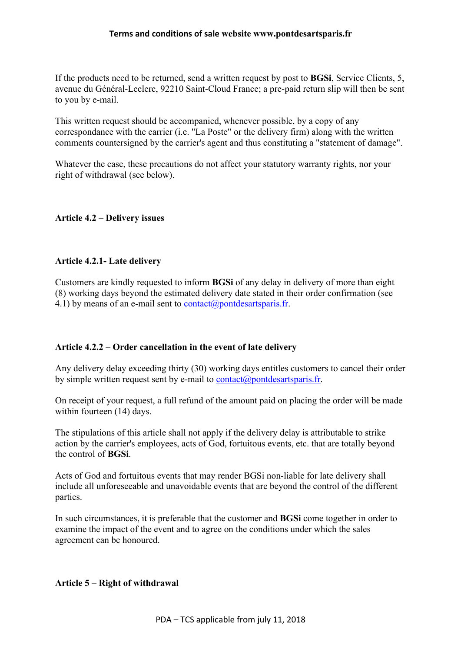If the products need to be returned, send a written request by post to **BGSi**, Service Clients, 5, avenue du Général-Leclerc, 92210 Saint-Cloud France; a pre-paid return slip will then be sent to you by e-mail.

This written request should be accompanied, whenever possible, by a copy of any correspondance with the carrier (i.e. "La Poste" or the delivery firm) along with the written comments countersigned by the carrier's agent and thus constituting a "statement of damage".

Whatever the case, these precautions do not affect your statutory warranty rights, nor your right of withdrawal (see below).

# **Article 4.2 – Delivery issues**

### **Article 4.2.1- Late delivery**

Customers are kindly requested to inform **BGSi** of any delay in delivery of more than eight (8) working days beyond the estimated delivery date stated in their order confirmation (see 4.1) by means of an e-mail sent to contact@pontdesartsparis.fr.

### **Article 4.2.2 – Order cancellation in the event of late delivery**

Any delivery delay exceeding thirty (30) working days entitles customers to cancel their order by simple written request sent by e-mail to contact@pontdesartsparis.fr.

On receipt of your request, a full refund of the amount paid on placing the order will be made within fourteen (14) days.

The stipulations of this article shall not apply if the delivery delay is attributable to strike action by the carrier's employees, acts of God, fortuitous events, etc. that are totally beyond the control of **BGSi**.

Acts of God and fortuitous events that may render BGSi non-liable for late delivery shall include all unforeseeable and unavoidable events that are beyond the control of the different parties.

In such circumstances, it is preferable that the customer and **BGSi** come together in order to examine the impact of the event and to agree on the conditions under which the sales agreement can be honoured.

### **Article 5 – Right of withdrawal**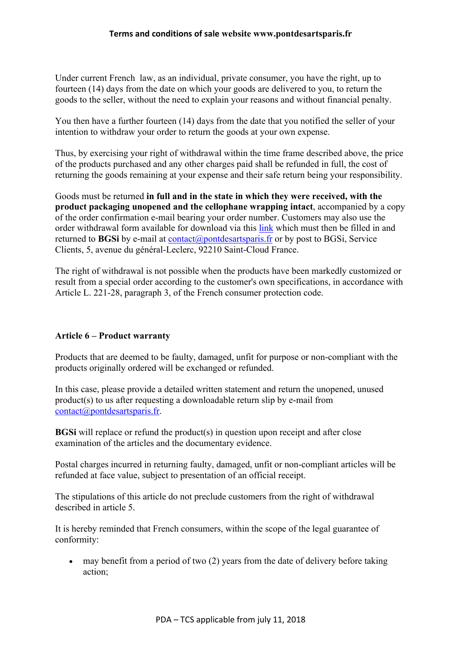Under current French law, as an individual, private consumer, you have the right, up to fourteen (14) days from the date on which your goods are delivered to you, to return the goods to the seller, without the need to explain your reasons and without financial penalty.

You then have a further fourteen (14) days from the date that you notified the seller of your intention to withdraw your order to return the goods at your own expense.

Thus, by exercising your right of withdrawal within the time frame described above, the price of the products purchased and any other charges paid shall be refunded in full, the cost of returning the goods remaining at your expense and their safe return being your responsibility.

Goods must be returned **in full and in the state in which they were received, with the product packaging unopened and the cellophane wrapping intact**, accompanied by a copy of the order confirmation e-mail bearing your order number. Customers may also use the order withdrawal form available for download via this link which must then be filled in and returned to **BGSi** by e-mail at  $contact(\theta)$  pontdesarts paris. In or by post to BGSi, Service Clients, 5, avenue du général-Leclerc, 92210 Saint-Cloud France.

The right of withdrawal is not possible when the products have been markedly customized or result from a special order according to the customer's own specifications, in accordance with Article L. 221-28, paragraph 3, of the French consumer protection code.

### **Article 6 – Product warranty**

Products that are deemed to be faulty, damaged, unfit for purpose or non-compliant with the products originally ordered will be exchanged or refunded.

In this case, please provide a detailed written statement and return the unopened, unused product(s) to us after requesting a downloadable return slip by e-mail from contact@pontdesartsparis.fr.

**BGSi** will replace or refund the product(s) in question upon receipt and after close examination of the articles and the documentary evidence.

Postal charges incurred in returning faulty, damaged, unfit or non-compliant articles will be refunded at face value, subject to presentation of an official receipt.

The stipulations of this article do not preclude customers from the right of withdrawal described in article 5.

It is hereby reminded that French consumers, within the scope of the legal guarantee of conformity:

• may benefit from a period of two (2) years from the date of delivery before taking action;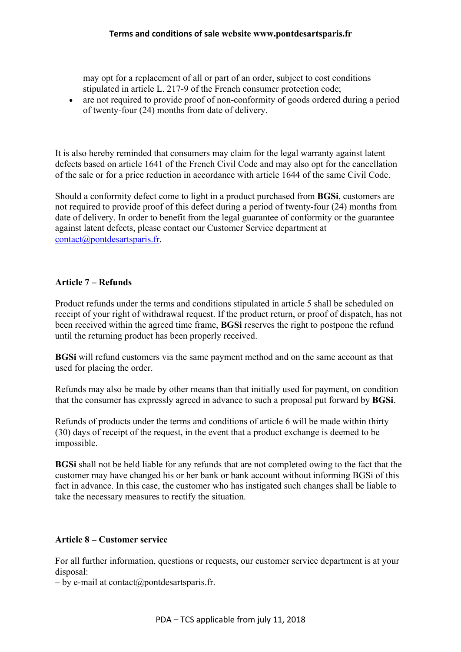may opt for a replacement of all or part of an order, subject to cost conditions stipulated in article L. 217-9 of the French consumer protection code;

• are not required to provide proof of non-conformity of goods ordered during a period of twenty-four (24) months from date of delivery.

It is also hereby reminded that consumers may claim for the legal warranty against latent defects based on article 1641 of the French Civil Code and may also opt for the cancellation of the sale or for a price reduction in accordance with article 1644 of the same Civil Code.

Should a conformity defect come to light in a product purchased from **BGSi**, customers are not required to provide proof of this defect during a period of twenty-four (24) months from date of delivery. In order to benefit from the legal guarantee of conformity or the guarantee against latent defects, please contact our Customer Service department at contact@pontdesartsparis.fr.

# **Article 7 – Refunds**

Product refunds under the terms and conditions stipulated in article 5 shall be scheduled on receipt of your right of withdrawal request. If the product return, or proof of dispatch, has not been received within the agreed time frame, **BGSi** reserves the right to postpone the refund until the returning product has been properly received.

**BGSi** will refund customers via the same payment method and on the same account as that used for placing the order.

Refunds may also be made by other means than that initially used for payment, on condition that the consumer has expressly agreed in advance to such a proposal put forward by **BGSi**.

Refunds of products under the terms and conditions of article 6 will be made within thirty (30) days of receipt of the request, in the event that a product exchange is deemed to be impossible.

**BGSi** shall not be held liable for any refunds that are not completed owing to the fact that the customer may have changed his or her bank or bank account without informing BGSi of this fact in advance. In this case, the customer who has instigated such changes shall be liable to take the necessary measures to rectify the situation.

### **Article 8 – Customer service**

For all further information, questions or requests, our customer service department is at your disposal:

 $-$  by e-mail at contact@pontdesartsparis.fr.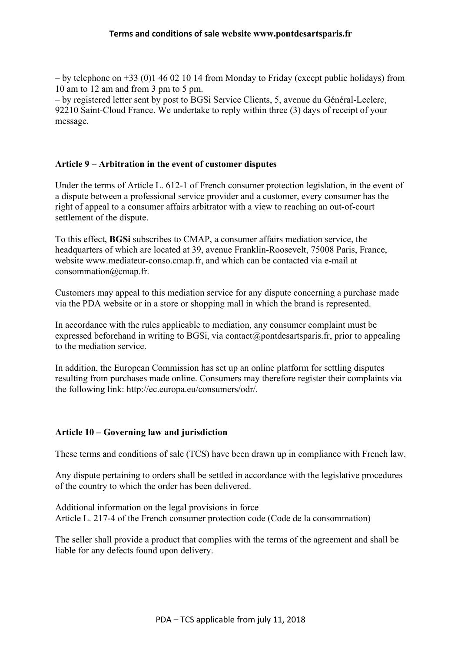– by telephone on +33 (0)1 46 02 10 14 from Monday to Friday (except public holidays) from 10 am to 12 am and from 3 pm to 5 pm.

– by registered letter sent by post to BGSi Service Clients, 5, avenue du Général-Leclerc, 92210 Saint-Cloud France. We undertake to reply within three (3) days of receipt of your message.

#### **Article 9 – Arbitration in the event of customer disputes**

Under the terms of Article L. 612-1 of French consumer protection legislation, in the event of a dispute between a professional service provider and a customer, every consumer has the right of appeal to a consumer affairs arbitrator with a view to reaching an out-of-court settlement of the dispute.

To this effect, **BGSi** subscribes to CMAP, a consumer affairs mediation service, the headquarters of which are located at 39, avenue Franklin-Roosevelt, 75008 Paris, France, website www.mediateur-conso.cmap.fr, and which can be contacted via e-mail at consommation@cmap.fr.

Customers may appeal to this mediation service for any dispute concerning a purchase made via the PDA website or in a store or shopping mall in which the brand is represented.

In accordance with the rules applicable to mediation, any consumer complaint must be expressed beforehand in writing to BGSi, via contact@pontdesartsparis.fr, prior to appealing to the mediation service.

In addition, the European Commission has set up an online platform for settling disputes resulting from purchases made online. Consumers may therefore register their complaints via the following link: http://ec.europa.eu/consumers/odr/.

### **Article 10 – Governing law and jurisdiction**

These terms and conditions of sale (TCS) have been drawn up in compliance with French law.

Any dispute pertaining to orders shall be settled in accordance with the legislative procedures of the country to which the order has been delivered.

Additional information on the legal provisions in force Article L. 217-4 of the French consumer protection code (Code de la consommation)

The seller shall provide a product that complies with the terms of the agreement and shall be liable for any defects found upon delivery.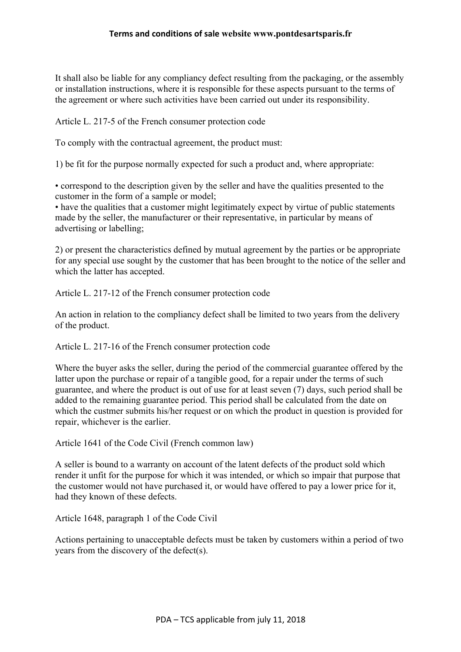It shall also be liable for any compliancy defect resulting from the packaging, or the assembly or installation instructions, where it is responsible for these aspects pursuant to the terms of the agreement or where such activities have been carried out under its responsibility.

Article L. 217-5 of the French consumer protection code

To comply with the contractual agreement, the product must:

1) be fit for the purpose normally expected for such a product and, where appropriate:

• correspond to the description given by the seller and have the qualities presented to the customer in the form of a sample or model;

• have the qualities that a customer might legitimately expect by virtue of public statements made by the seller, the manufacturer or their representative, in particular by means of advertising or labelling;

2) or present the characteristics defined by mutual agreement by the parties or be appropriate for any special use sought by the customer that has been brought to the notice of the seller and which the latter has accepted.

Article L. 217-12 of the French consumer protection code

An action in relation to the compliancy defect shall be limited to two years from the delivery of the product.

Article L. 217-16 of the French consumer protection code

Where the buyer asks the seller, during the period of the commercial guarantee offered by the latter upon the purchase or repair of a tangible good, for a repair under the terms of such guarantee, and where the product is out of use for at least seven (7) days, such period shall be added to the remaining guarantee period. This period shall be calculated from the date on which the custmer submits his/her request or on which the product in question is provided for repair, whichever is the earlier.

Article 1641 of the Code Civil (French common law)

A seller is bound to a warranty on account of the latent defects of the product sold which render it unfit for the purpose for which it was intended, or which so impair that purpose that the customer would not have purchased it, or would have offered to pay a lower price for it, had they known of these defects.

Article 1648, paragraph 1 of the Code Civil

Actions pertaining to unacceptable defects must be taken by customers within a period of two years from the discovery of the defect(s).